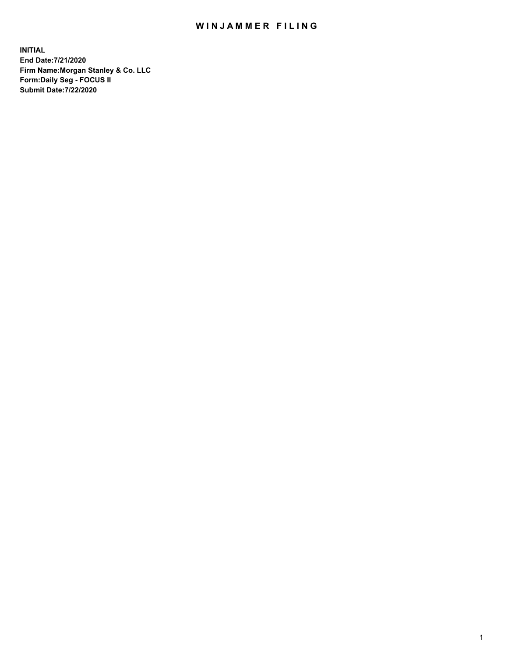## WIN JAMMER FILING

**INITIAL End Date:7/21/2020 Firm Name:Morgan Stanley & Co. LLC Form:Daily Seg - FOCUS II Submit Date:7/22/2020**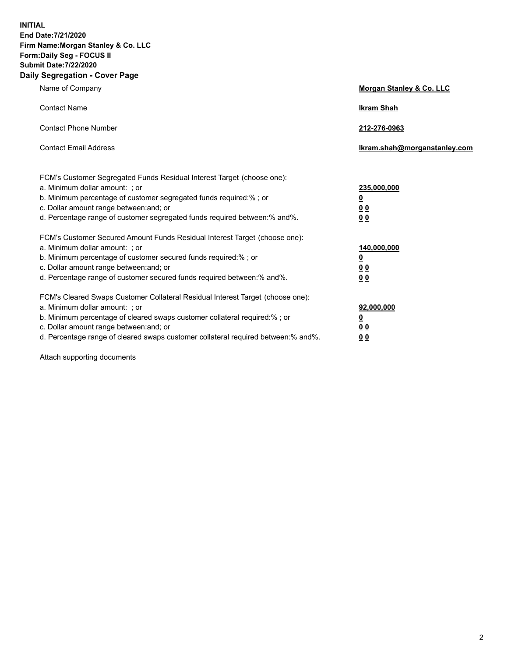**INITIAL End Date:7/21/2020 Firm Name:Morgan Stanley & Co. LLC Form:Daily Seg - FOCUS II Submit Date:7/22/2020 Daily Segregation - Cover Page**

| Name of Company                                                                                                                                                                                                                                                                                                                | Morgan Stanley & Co. LLC                                |
|--------------------------------------------------------------------------------------------------------------------------------------------------------------------------------------------------------------------------------------------------------------------------------------------------------------------------------|---------------------------------------------------------|
| <b>Contact Name</b>                                                                                                                                                                                                                                                                                                            | <b>Ikram Shah</b>                                       |
| <b>Contact Phone Number</b>                                                                                                                                                                                                                                                                                                    | 212-276-0963                                            |
| <b>Contact Email Address</b>                                                                                                                                                                                                                                                                                                   | Ikram.shah@morganstanley.com                            |
| FCM's Customer Segregated Funds Residual Interest Target (choose one):<br>a. Minimum dollar amount: ; or<br>b. Minimum percentage of customer segregated funds required:% ; or<br>c. Dollar amount range between: and; or<br>d. Percentage range of customer segregated funds required between:% and%.                         | 235,000,000<br><u>0</u><br><u>00</u><br><u>00</u>       |
| FCM's Customer Secured Amount Funds Residual Interest Target (choose one):<br>a. Minimum dollar amount: ; or<br>b. Minimum percentage of customer secured funds required:%; or<br>c. Dollar amount range between: and; or<br>d. Percentage range of customer secured funds required between:% and%.                            | 140,000,000<br><u>0</u><br><u>0 0</u><br>0 <sub>0</sub> |
| FCM's Cleared Swaps Customer Collateral Residual Interest Target (choose one):<br>a. Minimum dollar amount: ; or<br>b. Minimum percentage of cleared swaps customer collateral required:% ; or<br>c. Dollar amount range between: and; or<br>d. Percentage range of cleared swaps customer collateral required between:% and%. | 92,000,000<br><u>0</u><br><u>00</u><br>00               |

Attach supporting documents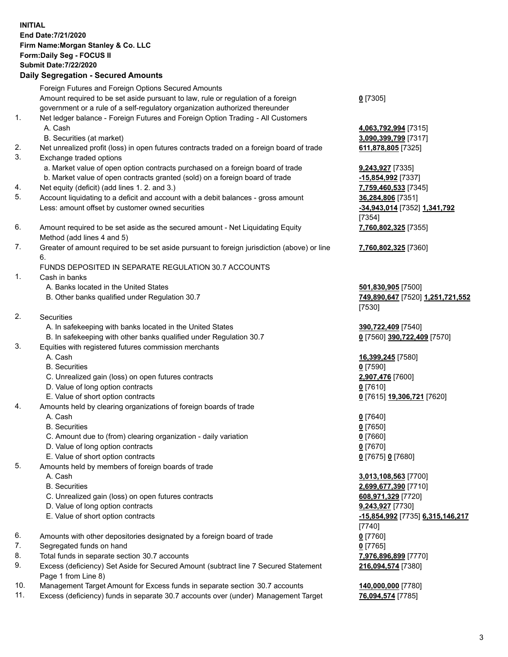## **INITIAL End Date:7/21/2020 Firm Name:Morgan Stanley & Co. LLC Form:Daily Seg - FOCUS II Submit Date:7/22/2020 Daily Segregation - Secured Amounts** Foreign Futures and Foreign Options Secured Amounts Amount required to be set aside pursuant to law, rule or regulation of a foreign government or a rule of a self-regulatory organization authorized thereunder 1. Net ledger balance - Foreign Futures and Foreign Option Trading - All Customers A. Cash **4,063,792,994** [7315] B. Securities (at market) **3,090,399,799** [7317] 2. Net unrealized profit (loss) in open futures contracts traded on a foreign board of trade **611,878,805** [7325] 3. Exchange traded options a. Market value of open option contracts purchased on a foreign board of trade **9,243,927** [7335] b. Market value of open contracts granted (sold) on a foreign board of trade **-15,854,992** [7337] 4. Net equity (deficit) (add lines 1. 2. and 3.) **7,759,460,533** [7345] 5. Account liquidating to a deficit and account with a debit balances - gross amount **36,284,806** [7351] Less: amount offset by customer owned securities **-34,943,014** [7352] **1,341,792** 6. Amount required to be set aside as the secured amount - Net Liquidating Equity Method (add lines 4 and 5) 7. Greater of amount required to be set aside pursuant to foreign jurisdiction (above) or line 6. FUNDS DEPOSITED IN SEPARATE REGULATION 30.7 ACCOUNTS 1. Cash in banks A. Banks located in the United States **501,830,905** [7500] B. Other banks qualified under Regulation 30.7 **749,890,647** [7520] **1,251,721,552** 2. Securities A. In safekeeping with banks located in the United States **390,722,409** [7540] B. In safekeeping with other banks qualified under Regulation 30.7 **0** [7560] **390,722,409** [7570] 3. Equities with registered futures commission merchants A. Cash **16,399,245** [7580] B. Securities **0** [7590] C. Unrealized gain (loss) on open futures contracts **2,907,476** [7600] D. Value of long option contracts **0** [7610] E. Value of short option contracts **0** [7615] **19,306,721** [7620] 4. Amounts held by clearing organizations of foreign boards of trade A. Cash **0** [7640] B. Securities **0** [7650] C. Amount due to (from) clearing organization - daily variation **0** [7660] D. Value of long option contracts **0** [7670] E. Value of short option contracts **0** [7675] **0** [7680] 5. Amounts held by members of foreign boards of trade A. Cash **3,013,108,563** [7700] B. Securities **2,699,677,390** [7710] C. Unrealized gain (loss) on open futures contracts **608,971,329** [7720] D. Value of long option contracts **9,243,927** [7730] E. Value of short option contracts **-15,854,992** [7735] **6,315,146,217** 6. Amounts with other depositories designated by a foreign board of trade **0** [7760]

- 7. Segregated funds on hand **0** [7765]
- 8. Total funds in separate section 30.7 accounts **7,976,896,899** [7770]
- 9. Excess (deficiency) Set Aside for Secured Amount (subtract line 7 Secured Statement Page 1 from Line 8)
- 10. Management Target Amount for Excess funds in separate section 30.7 accounts **140,000,000** [7780]
- 11. Excess (deficiency) funds in separate 30.7 accounts over (under) Management Target **76,094,574** [7785]

**0** [7305]

[7354] **7,760,802,325** [7355]

**7,760,802,325** [7360]

[7530]

[7740] **216,094,574** [7380]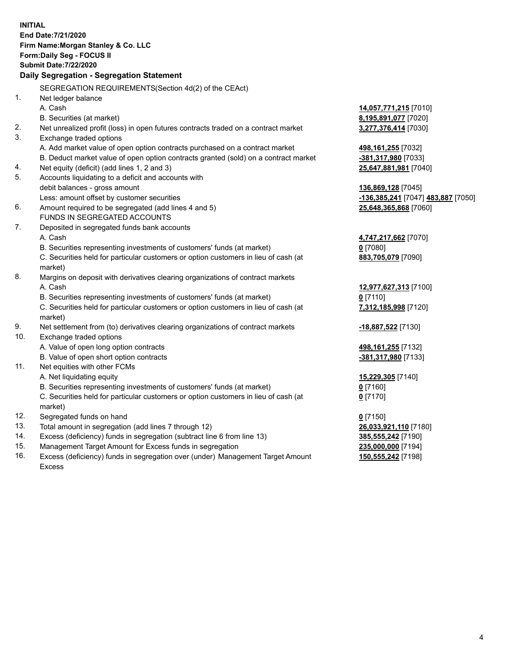**INITIAL End Date:7/21/2020 Firm Name:Morgan Stanley & Co. LLC Form:Daily Seg - FOCUS II Submit Date:7/22/2020 Daily Segregation - Segregation Statement** SEGREGATION REQUIREMENTS(Section 4d(2) of the CEAct) 1. Net ledger balance A. Cash **14,057,771,215** [7010] B. Securities (at market) **8,195,891,077** [7020] 2. Net unrealized profit (loss) in open futures contracts traded on a contract market **3,277,376,414** [7030] 3. Exchange traded options A. Add market value of open option contracts purchased on a contract market **498,161,255** [7032] B. Deduct market value of open option contracts granted (sold) on a contract market **-381,317,980** [7033] 4. Net equity (deficit) (add lines 1, 2 and 3) **25,647,881,981** [7040] 5. Accounts liquidating to a deficit and accounts with debit balances - gross amount **136,869,128** [7045] Less: amount offset by customer securities **-136,385,241** [7047] **483,887** [7050] 6. Amount required to be segregated (add lines 4 and 5) **25,648,365,868** [7060] FUNDS IN SEGREGATED ACCOUNTS 7. Deposited in segregated funds bank accounts A. Cash **4,747,217,662** [7070] B. Securities representing investments of customers' funds (at market) **0** [7080] C. Securities held for particular customers or option customers in lieu of cash (at market) **883,705,079** [7090] 8. Margins on deposit with derivatives clearing organizations of contract markets A. Cash **12,977,627,313** [7100] B. Securities representing investments of customers' funds (at market) **0** [7110] C. Securities held for particular customers or option customers in lieu of cash (at market) **7,312,185,998** [7120] 9. Net settlement from (to) derivatives clearing organizations of contract markets **-18,887,522** [7130] 10. Exchange traded options A. Value of open long option contracts **498,161,255** [7132] B. Value of open short option contracts **-381,317,980** [7133] 11. Net equities with other FCMs A. Net liquidating equity **15,229,305** [7140] B. Securities representing investments of customers' funds (at market) **0** [7160] C. Securities held for particular customers or option customers in lieu of cash (at market) **0** [7170] 12. Segregated funds on hand **0** [7150] 13. Total amount in segregation (add lines 7 through 12) **26,033,921,110** [7180] 14. Excess (deficiency) funds in segregation (subtract line 6 from line 13) **385,555,242** [7190] 15. Management Target Amount for Excess funds in segregation **235,000,000** [7194]

16. Excess (deficiency) funds in segregation over (under) Management Target Amount Excess

**150,555,242** [7198]